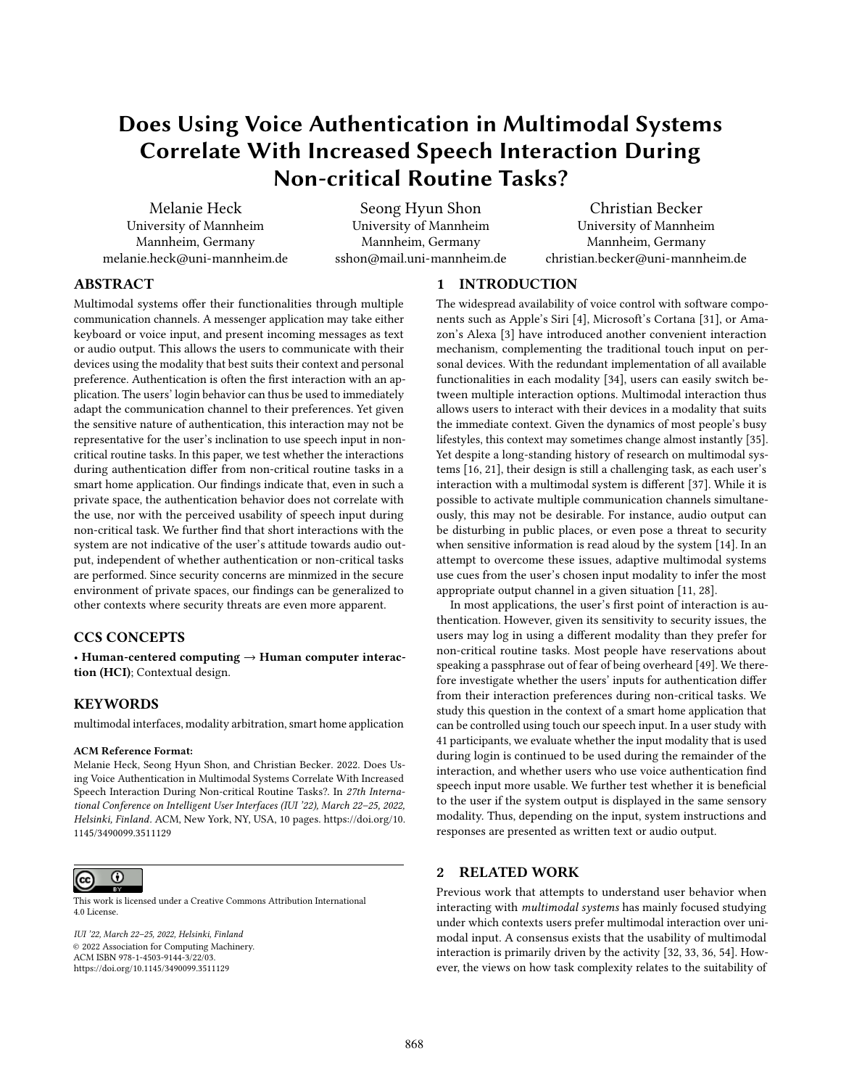# Does Using Voice Authentication in Multimodal Systems Correlate With Increased Speech Interaction During Non-critical Routine Tasks?

Melanie Heck University of Mannheim Mannheim, Germany melanie.heck@uni-mannheim.de

Seong Hyun Shon University of Mannheim Mannheim, Germany sshon@mail.uni-mannheim.de

Christian Becker University of Mannheim Mannheim, Germany christian.becker@uni-mannheim.de

# ABSTRACT

Multimodal systems offer their functionalities through multiple communication channels. A messenger application may take either keyboard or voice input, and present incoming messages as text or audio output. This allows the users to communicate with their devices using the modality that best suits their context and personal preference. Authentication is often the first interaction with an application. The users' login behavior can thus be used to immediately adapt the communication channel to their preferences. Yet given the sensitive nature of authentication, this interaction may not be representative for the user's inclination to use speech input in noncritical routine tasks. In this paper, we test whether the interactions during authentication differ from non-critical routine tasks in a smart home application. Our findings indicate that, even in such a private space, the authentication behavior does not correlate with the use, nor with the perceived usability of speech input during non-critical task. We further find that short interactions with the system are not indicative of the user's attitude towards audio output, independent of whether authentication or non-critical tasks are performed. Since security concerns are minmized in the secure environment of private spaces, our findings can be generalized to other contexts where security threats are even more apparent.

### CCS CONCEPTS

• Human-centered computing → Human computer interaction (HCI); Contextual design.

# **KEYWORDS**

multimodal interfaces, modality arbitration, smart home application

#### ACM Reference Format:

Melanie Heck, Seong Hyun Shon, and Christian Becker. 2022. Does Using Voice Authentication in Multimodal Systems Correlate With Increased Speech Interaction During Non-critical Routine Tasks?. In 27th International Conference on Intelligent User Interfaces (IUI '22), March 22–25, 2022, Helsinki, Finland. ACM, New York, NY, USA, [10](#page-9-0) pages. [https://doi.org/10.](https://doi.org/10.1145/3490099.3511129) [1145/3490099.3511129](https://doi.org/10.1145/3490099.3511129)



This work is licensed under a [Creative Commons Attribution International](https://creativecommons.org/licenses/by/4.0/) [4.0 License.](https://creativecommons.org/licenses/by/4.0/)

IUI '22, March 22–25, 2022, Helsinki, Finland © 2022 Association for Computing Machinery. ACM ISBN 978-1-4503-9144-3/22/03. <https://doi.org/10.1145/3490099.3511129>

# 1 INTRODUCTION

The widespread availability of voice control with software components such as Apple's Siri [\[4\]](#page-8-0), Microsoft's Cortana [\[31\]](#page-9-1), or Amazon's Alexa [\[3\]](#page-8-1) have introduced another convenient interaction mechanism, complementing the traditional touch input on personal devices. With the redundant implementation of all available functionalities in each modality [\[34\]](#page-9-2), users can easily switch between multiple interaction options. Multimodal interaction thus allows users to interact with their devices in a modality that suits the immediate context. Given the dynamics of most people's busy lifestyles, this context may sometimes change almost instantly [\[35\]](#page-9-3). Yet despite a long-standing history of research on multimodal systems [\[16,](#page-9-4) [21\]](#page-9-5), their design is still a challenging task, as each user's interaction with a multimodal system is different [\[37\]](#page-9-6). While it is possible to activate multiple communication channels simultaneously, this may not be desirable. For instance, audio output can be disturbing in public places, or even pose a threat to security when sensitive information is read aloud by the system [\[14\]](#page-9-7). In an attempt to overcome these issues, adaptive multimodal systems use cues from the user's chosen input modality to infer the most appropriate output channel in a given situation [\[11,](#page-8-2) [28\]](#page-9-8).

In most applications, the user's first point of interaction is authentication. However, given its sensitivity to security issues, the users may log in using a different modality than they prefer for non-critical routine tasks. Most people have reservations about speaking a passphrase out of fear of being overheard [\[49\]](#page-9-9). We therefore investigate whether the users' inputs for authentication differ from their interaction preferences during non-critical tasks. We study this question in the context of a smart home application that can be controlled using touch our speech input. In a user study with 41 participants, we evaluate whether the input modality that is used during login is continued to be used during the remainder of the interaction, and whether users who use voice authentication find speech input more usable. We further test whether it is beneficial to the user if the system output is displayed in the same sensory modality. Thus, depending on the input, system instructions and responses are presented as written text or audio output.

### 2 RELATED WORK

Previous work that attempts to understand user behavior when interacting with multimodal systems has mainly focused studying under which contexts users prefer multimodal interaction over unimodal input. A consensus exists that the usability of multimodal interaction is primarily driven by the activity [\[32,](#page-9-10) [33,](#page-9-11) [36,](#page-9-12) [54\]](#page-9-13). However, the views on how task complexity relates to the suitability of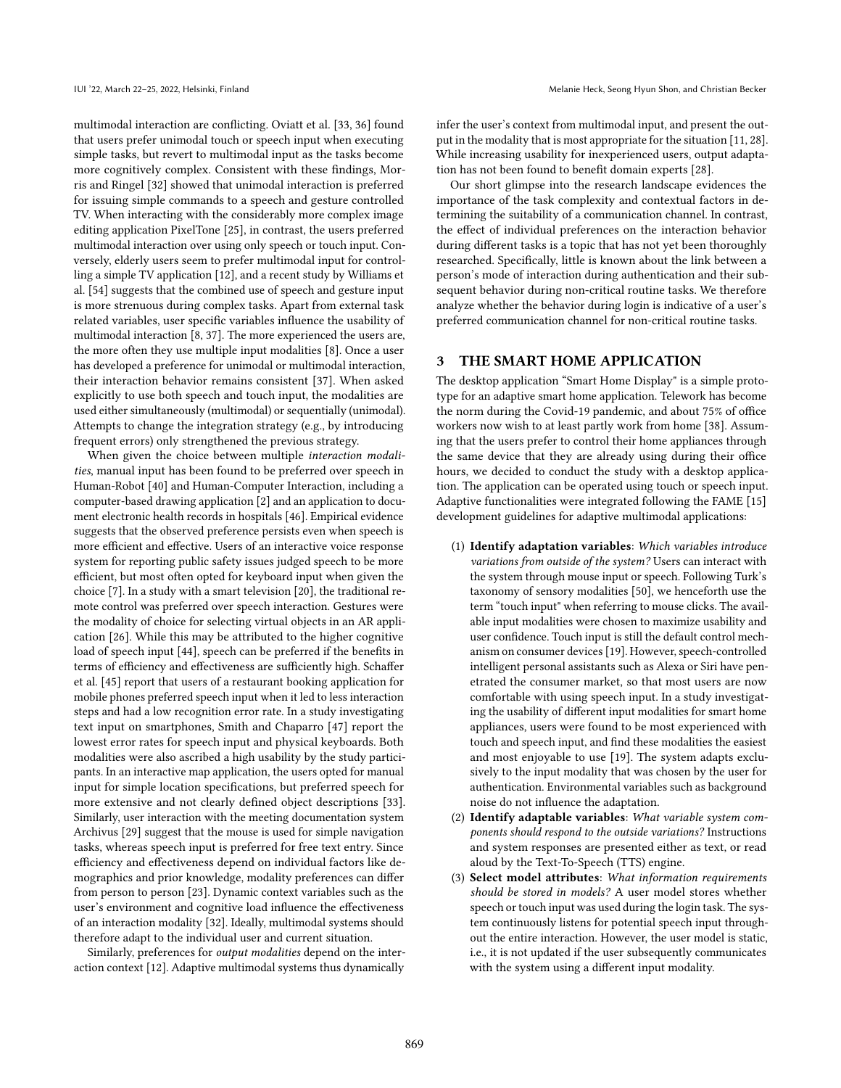multimodal interaction are conflicting. Oviatt et al. [\[33,](#page-9-11) [36\]](#page-9-12) found that users prefer unimodal touch or speech input when executing simple tasks, but revert to multimodal input as the tasks become more cognitively complex. Consistent with these findings, Morris and Ringel [\[32\]](#page-9-10) showed that unimodal interaction is preferred for issuing simple commands to a speech and gesture controlled TV. When interacting with the considerably more complex image editing application PixelTone [\[25\]](#page-9-14), in contrast, the users preferred multimodal interaction over using only speech or touch input. Conversely, elderly users seem to prefer multimodal input for controlling a simple TV application [\[12\]](#page-8-3), and a recent study by Williams et al. [\[54\]](#page-9-13) suggests that the combined use of speech and gesture input is more strenuous during complex tasks. Apart from external task related variables, user specific variables influence the usability of multimodal interaction [\[8,](#page-8-4) [37\]](#page-9-6). The more experienced the users are, the more often they use multiple input modalities [\[8\]](#page-8-4). Once a user has developed a preference for unimodal or multimodal interaction, their interaction behavior remains consistent [\[37\]](#page-9-6). When asked explicitly to use both speech and touch input, the modalities are used either simultaneously (multimodal) or sequentially (unimodal). Attempts to change the integration strategy (e.g., by introducing frequent errors) only strengthened the previous strategy.

When given the choice between multiple interaction modalities, manual input has been found to be preferred over speech in Human-Robot [\[40\]](#page-9-15) and Human-Computer Interaction, including a computer-based drawing application [\[2\]](#page-8-5) and an application to document electronic health records in hospitals [\[46\]](#page-9-16). Empirical evidence suggests that the observed preference persists even when speech is more efficient and effective. Users of an interactive voice response system for reporting public safety issues judged speech to be more efficient, but most often opted for keyboard input when given the choice [\[7\]](#page-8-6). In a study with a smart television [\[20\]](#page-9-17), the traditional remote control was preferred over speech interaction. Gestures were the modality of choice for selecting virtual objects in an AR application [\[26\]](#page-9-18). While this may be attributed to the higher cognitive load of speech input [\[44\]](#page-9-19), speech can be preferred if the benefits in terms of efficiency and effectiveness are sufficiently high. Schaffer et al. [\[45\]](#page-9-20) report that users of a restaurant booking application for mobile phones preferred speech input when it led to less interaction steps and had a low recognition error rate. In a study investigating text input on smartphones, Smith and Chaparro [\[47\]](#page-9-21) report the lowest error rates for speech input and physical keyboards. Both modalities were also ascribed a high usability by the study participants. In an interactive map application, the users opted for manual input for simple location specifications, but preferred speech for more extensive and not clearly defined object descriptions [\[33\]](#page-9-11). Similarly, user interaction with the meeting documentation system Archivus [\[29\]](#page-9-22) suggest that the mouse is used for simple navigation tasks, whereas speech input is preferred for free text entry. Since efficiency and effectiveness depend on individual factors like demographics and prior knowledge, modality preferences can differ from person to person [\[23\]](#page-9-23). Dynamic context variables such as the user's environment and cognitive load influence the effectiveness of an interaction modality [\[32\]](#page-9-10). Ideally, multimodal systems should therefore adapt to the individual user and current situation.

Similarly, preferences for output modalities depend on the interaction context [\[12\]](#page-8-3). Adaptive multimodal systems thus dynamically

infer the user's context from multimodal input, and present the output in the modality that is most appropriate for the situation [\[11,](#page-8-2) [28\]](#page-9-8). While increasing usability for inexperienced users, output adaptation has not been found to benefit domain experts [\[28\]](#page-9-8).

Our short glimpse into the research landscape evidences the importance of the task complexity and contextual factors in determining the suitability of a communication channel. In contrast, the effect of individual preferences on the interaction behavior during different tasks is a topic that has not yet been thoroughly researched. Specifically, little is known about the link between a person's mode of interaction during authentication and their subsequent behavior during non-critical routine tasks. We therefore analyze whether the behavior during login is indicative of a user's preferred communication channel for non-critical routine tasks.

### 3 THE SMART HOME APPLICATION

The desktop application "Smart Home Display" is a simple prototype for an adaptive smart home application. Telework has become the norm during the Covid-19 pandemic, and about 75% of office workers now wish to at least partly work from home [\[38\]](#page-9-24). Assuming that the users prefer to control their home appliances through the same device that they are already using during their office hours, we decided to conduct the study with a desktop application. The application can be operated using touch or speech input. Adaptive functionalities were integrated following the FAME [\[15\]](#page-9-25) development guidelines for adaptive multimodal applications:

- (1) Identify adaptation variables: Which variables introduce variations from outside of the system? Users can interact with the system through mouse input or speech. Following Turk's taxonomy of sensory modalities [\[50\]](#page-9-26), we henceforth use the term "touch input" when referring to mouse clicks. The available input modalities were chosen to maximize usability and user confidence. Touch input is still the default control mechanism on consumer devices [\[19\]](#page-9-27). However, speech-controlled intelligent personal assistants such as Alexa or Siri have penetrated the consumer market, so that most users are now comfortable with using speech input. In a study investigating the usability of different input modalities for smart home appliances, users were found to be most experienced with touch and speech input, and find these modalities the easiest and most enjoyable to use [\[19\]](#page-9-27). The system adapts exclusively to the input modality that was chosen by the user for authentication. Environmental variables such as background noise do not influence the adaptation.
- (2) Identify adaptable variables: What variable system components should respond to the outside variations? Instructions and system responses are presented either as text, or read aloud by the Text-To-Speech (TTS) engine.
- (3) Select model attributes: What information requirements should be stored in models? A user model stores whether speech or touch input was used during the login task. The system continuously listens for potential speech input throughout the entire interaction. However, the user model is static, i.e., it is not updated if the user subsequently communicates with the system using a different input modality.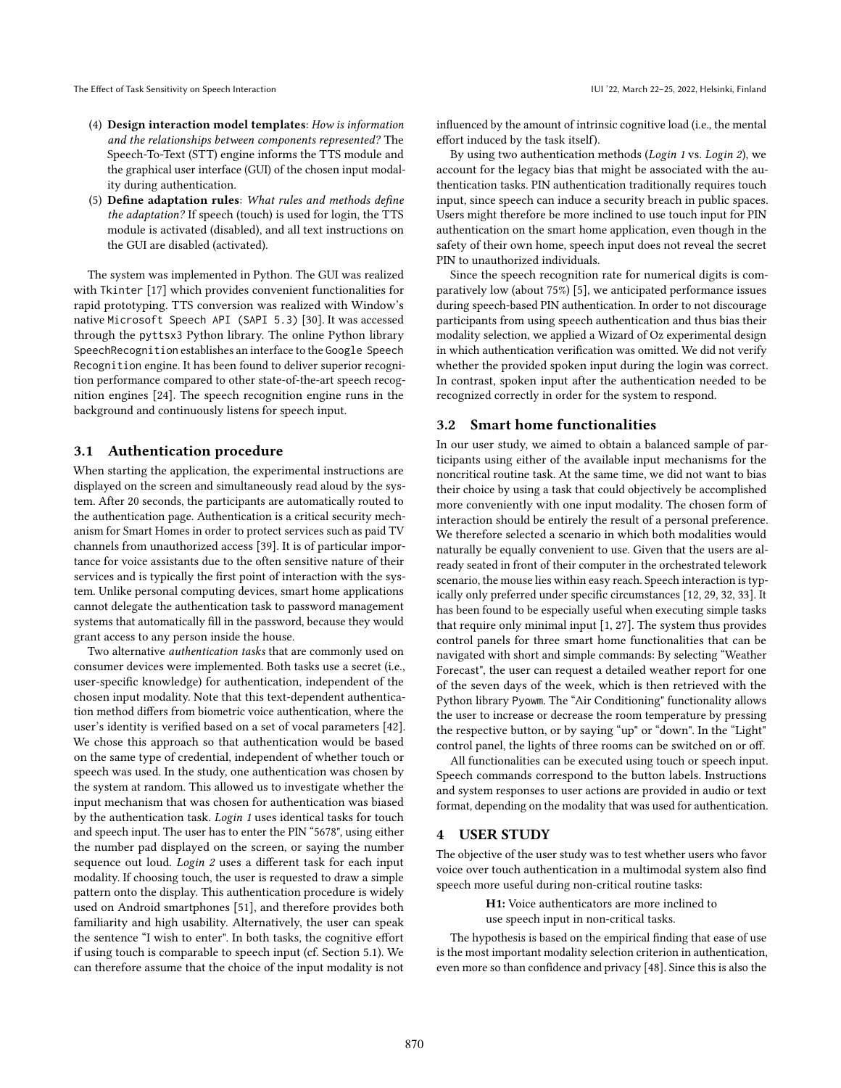- (4) Design interaction model templates: How is information and the relationships between components represented? The Speech-To-Text (STT) engine informs the TTS module and the graphical user interface (GUI) of the chosen input modality during authentication.
- (5) Define adaptation rules: What rules and methods define the adaptation? If speech (touch) is used for login, the TTS module is activated (disabled), and all text instructions on the GUI are disabled (activated).

The system was implemented in Python. The GUI was realized with Tkinter [\[17\]](#page-9-28) which provides convenient functionalities for rapid prototyping. TTS conversion was realized with Window's native Microsoft Speech API (SAPI 5.3) [\[30\]](#page-9-29). It was accessed through the pyttsx3 Python library. The online Python library SpeechRecognition establishes an interface to the Google Speech Recognition engine. It has been found to deliver superior recognition performance compared to other state-of-the-art speech recognition engines [\[24\]](#page-9-30). The speech recognition engine runs in the background and continuously listens for speech input.

#### 3.1 Authentication procedure

When starting the application, the experimental instructions are displayed on the screen and simultaneously read aloud by the system. After 20 seconds, the participants are automatically routed to the authentication page. Authentication is a critical security mechanism for Smart Homes in order to protect services such as paid TV channels from unauthorized access [\[39\]](#page-9-31). It is of particular importance for voice assistants due to the often sensitive nature of their services and is typically the first point of interaction with the system. Unlike personal computing devices, smart home applications cannot delegate the authentication task to password management systems that automatically fill in the password, because they would grant access to any person inside the house.

Two alternative authentication tasks that are commonly used on consumer devices were implemented. Both tasks use a secret (i.e., user-specific knowledge) for authentication, independent of the chosen input modality. Note that this text-dependent authentication method differs from biometric voice authentication, where the user's identity is verified based on a set of vocal parameters [\[42\]](#page-9-32). We chose this approach so that authentication would be based on the same type of credential, independent of whether touch or speech was used. In the study, one authentication was chosen by the system at random. This allowed us to investigate whether the input mechanism that was chosen for authentication was biased by the authentication task. Login 1 uses identical tasks for touch and speech input. The user has to enter the PIN "5678", using either the number pad displayed on the screen, or saying the number sequence out loud. Login 2 uses a different task for each input modality. If choosing touch, the user is requested to draw a simple pattern onto the display. This authentication procedure is widely used on Android smartphones [\[51\]](#page-9-33), and therefore provides both familiarity and high usability. Alternatively, the user can speak the sentence "I wish to enter". In both tasks, the cognitive effort if using touch is comparable to speech input (cf. Section [5.1\)](#page-4-0). We can therefore assume that the choice of the input modality is not

influenced by the amount of intrinsic cognitive load (i.e., the mental effort induced by the task itself).

By using two authentication methods (Login 1 vs. Login 2), we account for the legacy bias that might be associated with the authentication tasks. PIN authentication traditionally requires touch input, since speech can induce a security breach in public spaces. Users might therefore be more inclined to use touch input for PIN authentication on the smart home application, even though in the safety of their own home, speech input does not reveal the secret PIN to unauthorized individuals.

Since the speech recognition rate for numerical digits is comparatively low (about 75%) [\[5\]](#page-8-7), we anticipated performance issues during speech-based PIN authentication. In order to not discourage participants from using speech authentication and thus bias their modality selection, we applied a Wizard of Oz experimental design in which authentication verification was omitted. We did not verify whether the provided spoken input during the login was correct. In contrast, spoken input after the authentication needed to be recognized correctly in order for the system to respond.

#### 3.2 Smart home functionalities

In our user study, we aimed to obtain a balanced sample of participants using either of the available input mechanisms for the noncritical routine task. At the same time, we did not want to bias their choice by using a task that could objectively be accomplished more conveniently with one input modality. The chosen form of interaction should be entirely the result of a personal preference. We therefore selected a scenario in which both modalities would naturally be equally convenient to use. Given that the users are already seated in front of their computer in the orchestrated telework scenario, the mouse lies within easy reach. Speech interaction is typically only preferred under specific circumstances [\[12,](#page-8-3) [29,](#page-9-22) [32,](#page-9-10) [33\]](#page-9-11). It has been found to be especially useful when executing simple tasks that require only minimal input [\[1,](#page-8-8) [27\]](#page-9-34). The system thus provides control panels for three smart home functionalities that can be navigated with short and simple commands: By selecting "Weather Forecast", the user can request a detailed weather report for one of the seven days of the week, which is then retrieved with the Python library Pyowm. The "Air Conditioning" functionality allows the user to increase or decrease the room temperature by pressing the respective button, or by saying "up" or "down". In the "Light" control panel, the lights of three rooms can be switched on or off.

All functionalities can be executed using touch or speech input. Speech commands correspond to the button labels. Instructions and system responses to user actions are provided in audio or text format, depending on the modality that was used for authentication.

#### 4 USER STUDY

The objective of the user study was to test whether users who favor voice over touch authentication in a multimodal system also find speech more useful during non-critical routine tasks:

H1: Voice authenticators are more inclined to

use speech input in non-critical tasks.

The hypothesis is based on the empirical finding that ease of use is the most important modality selection criterion in authentication, even more so than confidence and privacy [\[48\]](#page-9-35). Since this is also the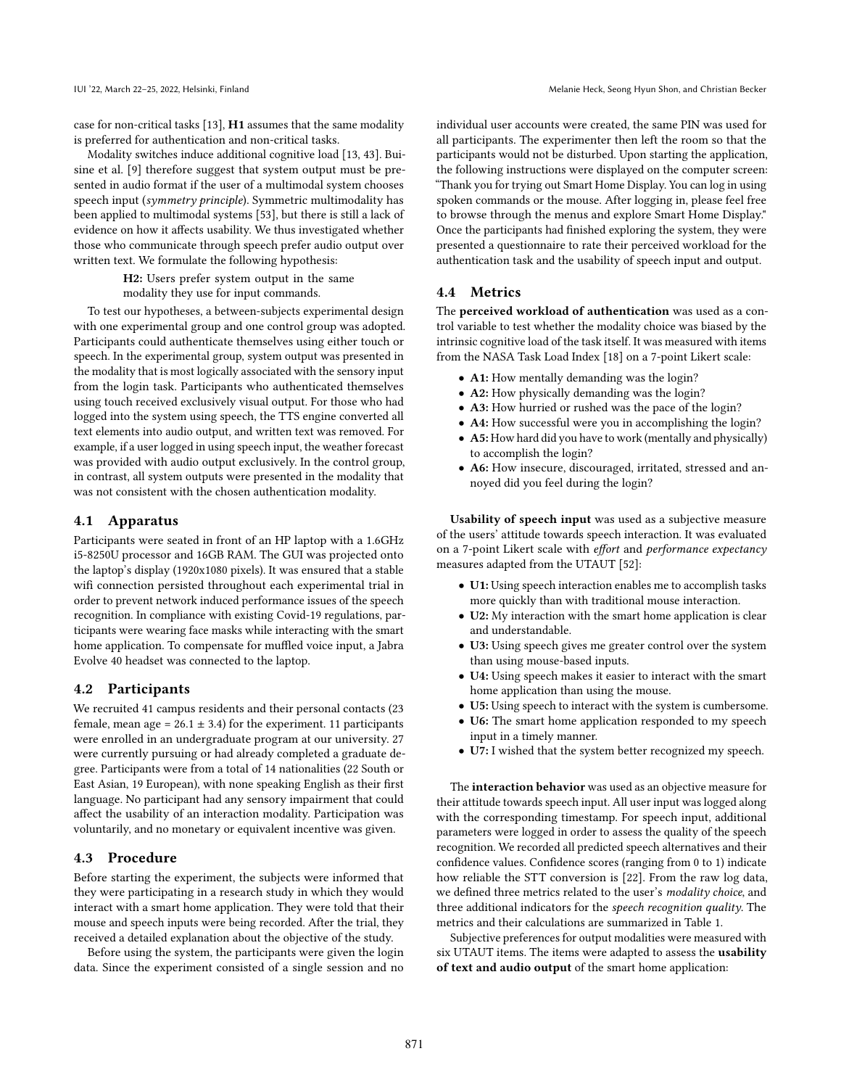case for non-critical tasks [\[13\]](#page-9-36), H1 assumes that the same modality is preferred for authentication and non-critical tasks.

Modality switches induce additional cognitive load [\[13,](#page-9-36) [43\]](#page-9-37). Buisine et al. [\[9\]](#page-8-9) therefore suggest that system output must be presented in audio format if the user of a multimodal system chooses speech input (symmetry principle). Symmetric multimodality has been applied to multimodal systems [\[53\]](#page-9-38), but there is still a lack of evidence on how it affects usability. We thus investigated whether those who communicate through speech prefer audio output over written text. We formulate the following hypothesis:

> H2: Users prefer system output in the same modality they use for input commands.

To test our hypotheses, a between-subjects experimental design with one experimental group and one control group was adopted. Participants could authenticate themselves using either touch or speech. In the experimental group, system output was presented in the modality that is most logically associated with the sensory input from the login task. Participants who authenticated themselves using touch received exclusively visual output. For those who had logged into the system using speech, the TTS engine converted all text elements into audio output, and written text was removed. For example, if a user logged in using speech input, the weather forecast was provided with audio output exclusively. In the control group, in contrast, all system outputs were presented in the modality that was not consistent with the chosen authentication modality.

#### 4.1 Apparatus

Participants were seated in front of an HP laptop with a 1.6GHz i5-8250U processor and 16GB RAM. The GUI was projected onto the laptop's display (1920x1080 pixels). It was ensured that a stable wifi connection persisted throughout each experimental trial in order to prevent network induced performance issues of the speech recognition. In compliance with existing Covid-19 regulations, participants were wearing face masks while interacting with the smart home application. To compensate for muffled voice input, a Jabra Evolve 40 headset was connected to the laptop.

#### 4.2 Participants

We recruited 41 campus residents and their personal contacts (23 female, mean age =  $26.1 \pm 3.4$ ) for the experiment. 11 participants were enrolled in an undergraduate program at our university. 27 were currently pursuing or had already completed a graduate degree. Participants were from a total of 14 nationalities (22 South or East Asian, 19 European), with none speaking English as their first language. No participant had any sensory impairment that could affect the usability of an interaction modality. Participation was voluntarily, and no monetary or equivalent incentive was given.

### 4.3 Procedure

Before starting the experiment, the subjects were informed that they were participating in a research study in which they would interact with a smart home application. They were told that their mouse and speech inputs were being recorded. After the trial, they received a detailed explanation about the objective of the study.

Before using the system, the participants were given the login data. Since the experiment consisted of a single session and no individual user accounts were created, the same PIN was used for all participants. The experimenter then left the room so that the participants would not be disturbed. Upon starting the application, the following instructions were displayed on the computer screen: "Thank you for trying out Smart Home Display. You can log in using spoken commands or the mouse. After logging in, please feel free to browse through the menus and explore Smart Home Display." Once the participants had finished exploring the system, they were presented a questionnaire to rate their perceived workload for the authentication task and the usability of speech input and output.

### 4.4 Metrics

The perceived workload of authentication was used as a control variable to test whether the modality choice was biased by the intrinsic cognitive load of the task itself. It was measured with items from the NASA Task Load Index [\[18\]](#page-9-39) on a 7-point Likert scale:

- A1: How mentally demanding was the login?
- A2: How physically demanding was the login?
- A3: How hurried or rushed was the pace of the login?
- A4: How successful were you in accomplishing the login?
- A5: How hard did you have to work (mentally and physically) to accomplish the login?
- A6: How insecure, discouraged, irritated, stressed and annoyed did you feel during the login?

Usability of speech input was used as a subjective measure of the users' attitude towards speech interaction. It was evaluated on a 7-point Likert scale with effort and performance expectancy measures adapted from the UTAUT [\[52\]](#page-9-40):

- U1: Using speech interaction enables me to accomplish tasks more quickly than with traditional mouse interaction.
- U2: My interaction with the smart home application is clear and understandable.
- U3: Using speech gives me greater control over the system than using mouse-based inputs.
- U4: Using speech makes it easier to interact with the smart home application than using the mouse.
- U5: Using speech to interact with the system is cumbersome.
- U6: The smart home application responded to my speech input in a timely manner.
- U7: I wished that the system better recognized my speech.

The interaction behavior was used as an objective measure for their attitude towards speech input. All user input was logged along with the corresponding timestamp. For speech input, additional parameters were logged in order to assess the quality of the speech recognition. We recorded all predicted speech alternatives and their confidence values. Confidence scores (ranging from 0 to 1) indicate how reliable the STT conversion is [\[22\]](#page-9-41). From the raw log data, we defined three metrics related to the user's modality choice, and three additional indicators for the speech recognition quality. The metrics and their calculations are summarized in Table [1.](#page-4-1)

Subjective preferences for output modalities were measured with six UTAUT items. The items were adapted to assess the usability of text and audio output of the smart home application: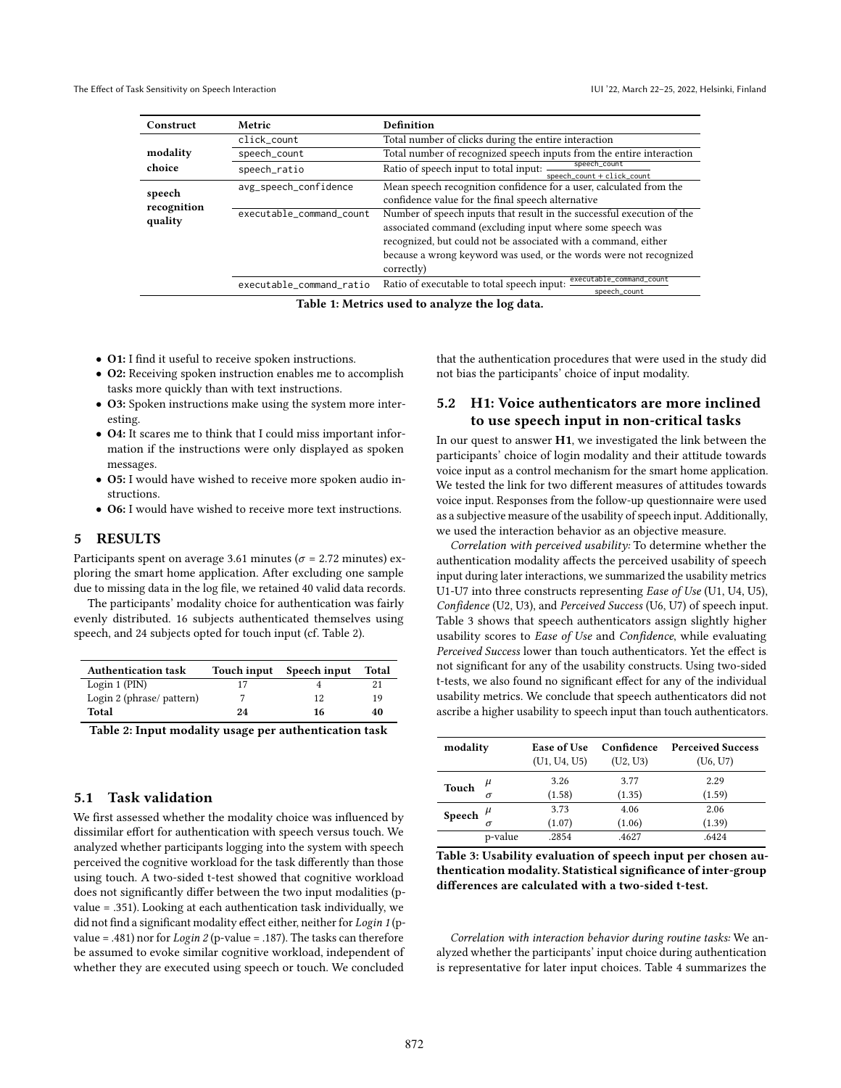<span id="page-4-1"></span>

| Construct              | Metric                   | Definition                                                                              |  |  |  |
|------------------------|--------------------------|-----------------------------------------------------------------------------------------|--|--|--|
|                        | click count              | Total number of clicks during the entire interaction                                    |  |  |  |
| modality               | speech_count             | Total number of recognized speech inputs from the entire interaction                    |  |  |  |
| choice                 | speech_ratio             | speech_count<br>Ratio of speech input to total input: -<br>speech count $+$ click count |  |  |  |
| speech                 | avg_speech_confidence    | Mean speech recognition confidence for a user, calculated from the                      |  |  |  |
|                        |                          | confidence value for the final speech alternative                                       |  |  |  |
| recognition<br>quality | executable_command_count | Number of speech inputs that result in the successful execution of the                  |  |  |  |
|                        |                          | associated command (excluding input where some speech was                               |  |  |  |
|                        |                          | recognized, but could not be associated with a command, either                          |  |  |  |
|                        |                          | because a wrong keyword was used, or the words were not recognized                      |  |  |  |
|                        |                          | correctly)                                                                              |  |  |  |
|                        | executable_command_ratio | executable_command_count<br>Ratio of executable to total speech input:<br>speech_count  |  |  |  |

Table 1: Metrics used to analyze the log data.

- O1: I find it useful to receive spoken instructions.
- O2: Receiving spoken instruction enables me to accomplish tasks more quickly than with text instructions.
- O3: Spoken instructions make using the system more interesting.
- O4: It scares me to think that I could miss important information if the instructions were only displayed as spoken messages.
- O5: I would have wished to receive more spoken audio instructions.
- O6: I would have wished to receive more text instructions.

# 5 RESULTS

Participants spent on average 3.61 minutes ( $\sigma$  = 2.72 minutes) exploring the smart home application. After excluding one sample due to missing data in the log file, we retained 40 valid data records.

The participants' modality choice for authentication was fairly evenly distributed. 16 subjects authenticated themselves using speech, and 24 subjects opted for touch input (cf. Table [2\)](#page-4-2).

<span id="page-4-2"></span>

| <b>Authentication task</b> | Touch input | Speech input | Total |
|----------------------------|-------------|--------------|-------|
| Login $1$ (PIN)            |             |              | 21    |
| Login 2 (phrase/ pattern)  |             | 12           | 19    |
| Total                      | 24          | 16           | 40    |

Table 2: Input modality usage per authentication task

#### <span id="page-4-0"></span>5.1 Task validation

We first assessed whether the modality choice was influenced by dissimilar effort for authentication with speech versus touch. We analyzed whether participants logging into the system with speech perceived the cognitive workload for the task differently than those using touch. A two-sided t-test showed that cognitive workload does not significantly differ between the two input modalities (pvalue = .351). Looking at each authentication task individually, we did not find a significant modality effect either, neither for Login 1 (pvalue = .481) nor for  $Login 2$  (p-value = .187). The tasks can therefore be assumed to evoke similar cognitive workload, independent of whether they are executed using speech or touch. We concluded

that the authentication procedures that were used in the study did not bias the participants' choice of input modality.

# 5.2 H1: Voice authenticators are more inclined to use speech input in non-critical tasks

In our quest to answer H1, we investigated the link between the participants' choice of login modality and their attitude towards voice input as a control mechanism for the smart home application. We tested the link for two different measures of attitudes towards voice input. Responses from the follow-up questionnaire were used as a subjective measure of the usability of speech input. Additionally, we used the interaction behavior as an objective measure.

Correlation with perceived usability: To determine whether the authentication modality affects the perceived usability of speech input during later interactions, we summarized the usability metrics U1-U7 into three constructs representing Ease of Use (U1, U4, U5), Confidence (U2, U3), and Perceived Success (U6, U7) of speech input. Table [3](#page-4-3) shows that speech authenticators assign slightly higher usability scores to Ease of Use and Confidence, while evaluating Perceived Success lower than touch authenticators. Yet the effect is not significant for any of the usability constructs. Using two-sided t-tests, we also found no significant effect for any of the individual usability metrics. We conclude that speech authenticators did not ascribe a higher usability to speech input than touch authenticators.

<span id="page-4-3"></span>

| modality     |         | Ease of Use    | Confidence     | <b>Perceived Success</b> |  |
|--------------|---------|----------------|----------------|--------------------------|--|
|              |         | (U1, U4, U5)   | (U2, U3)       | (U6, U7)                 |  |
| Touch        | $\mu$   | 3.26           | 3.77           | 2.29                     |  |
|              | σ       | (1.58)         | (1.35)         | (1.59)                   |  |
| Speech $\mu$ | σ       | 3.73<br>(1.07) | 4.06<br>(1.06) | 2.06<br>(1.39)           |  |
|              | p-value | .2854          | .4627          | .6424                    |  |

Table 3: Usability evaluation of speech input per chosen authentication modality. Statistical significance of inter-group differences are calculated with a two-sided t-test.

Correlation with interaction behavior during routine tasks: We analyzed whether the participants' input choice during authentication is representative for later input choices. Table [4](#page-5-0) summarizes the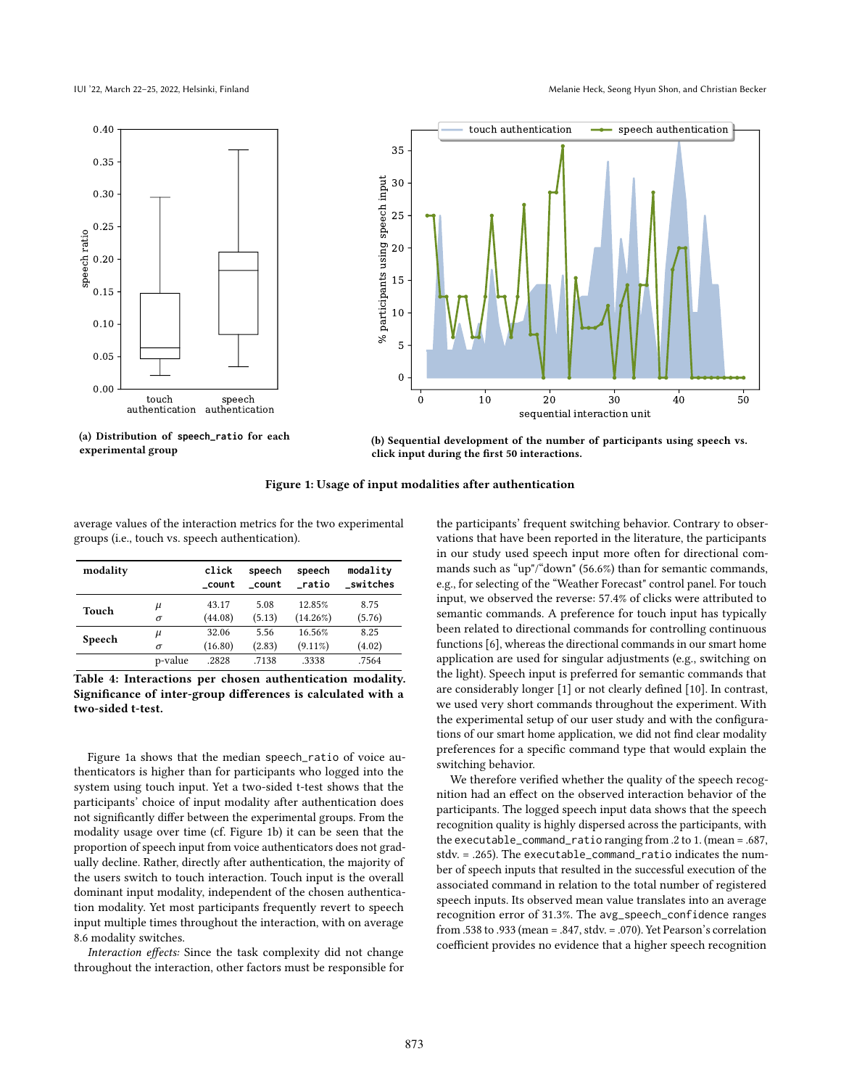IUI '22, March 22–25, 2022, Helsinki, Finland Melanie Heck, Seong Hyun Shon, and Christian Becker

<span id="page-5-1"></span>



(a) Distribution of **speech\_ratio** for each experimental group

(b) Sequential development of the number of participants using speech vs. click input during the first 50 interactions.

Figure 1: Usage of input modalities after authentication

average values of the interaction metrics for the two experimental groups (i.e., touch vs. speech authentication).

<span id="page-5-0"></span>

| modality |          | click<br>count | speech<br>count | speech<br>ratio | modality<br>switches |
|----------|----------|----------------|-----------------|-----------------|----------------------|
| Touch    | $\mu$    | 43.17          | 5.08            | 12.85%          | 8.75                 |
|          | $\sigma$ | (44.08)        | (5.13)          | $(14.26\%)$     | (5.76)               |
| Speech   | $\mu$    | 32.06          | 5.56            | 16.56%          | 8.25                 |
|          | σ        | (16.80)        | (2.83)          | $(9.11\%)$      | (4.02)               |
|          | p-value  | .2828          | .7138           | .3338           | .7564                |

Table 4: Interactions per chosen authentication modality. Significance of inter-group differences is calculated with a two-sided t-test.

Figure [1a](#page-5-1) shows that the median speech\_ratio of voice authenticators is higher than for participants who logged into the system using touch input. Yet a two-sided t-test shows that the participants' choice of input modality after authentication does not significantly differ between the experimental groups. From the modality usage over time (cf. Figure [1b\)](#page-5-1) it can be seen that the proportion of speech input from voice authenticators does not gradually decline. Rather, directly after authentication, the majority of the users switch to touch interaction. Touch input is the overall dominant input modality, independent of the chosen authentication modality. Yet most participants frequently revert to speech input multiple times throughout the interaction, with on average 8.6 modality switches.

Interaction effects: Since the task complexity did not change throughout the interaction, other factors must be responsible for the participants' frequent switching behavior. Contrary to observations that have been reported in the literature, the participants in our study used speech input more often for directional commands such as "up"/"down" (56.6%) than for semantic commands, e.g., for selecting of the "Weather Forecast" control panel. For touch input, we observed the reverse: 57.4% of clicks were attributed to semantic commands. A preference for touch input has typically been related to directional commands for controlling continuous functions [\[6\]](#page-8-10), whereas the directional commands in our smart home application are used for singular adjustments (e.g., switching on the light). Speech input is preferred for semantic commands that are considerably longer [\[1\]](#page-8-8) or not clearly defined [\[10\]](#page-8-11). In contrast, we used very short commands throughout the experiment. With the experimental setup of our user study and with the configurations of our smart home application, we did not find clear modality preferences for a specific command type that would explain the switching behavior.

We therefore verified whether the quality of the speech recognition had an effect on the observed interaction behavior of the participants. The logged speech input data shows that the speech recognition quality is highly dispersed across the participants, with the executable\_command\_ratio ranging from .2 to 1. (mean = .687, stdv. = .265). The executable\_command\_ratio indicates the number of speech inputs that resulted in the successful execution of the associated command in relation to the total number of registered speech inputs. Its observed mean value translates into an average recognition error of 31.3%. The avg\_speech\_confidence ranges from .538 to .933 (mean = .847, stdv. = .070). Yet Pearson's correlation coefficient provides no evidence that a higher speech recognition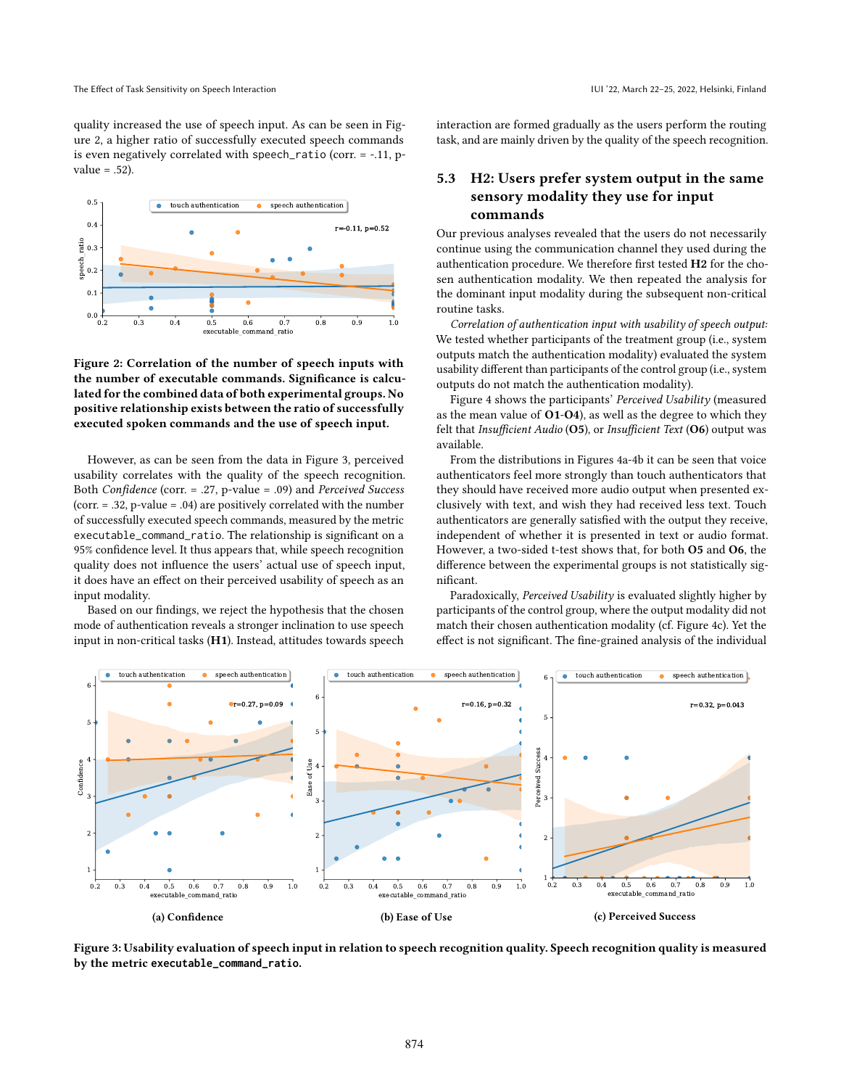quality increased the use of speech input. As can be seen in Figure [2,](#page-6-0) a higher ratio of successfully executed speech commands is even negatively correlated with speech\_ratio (corr. = -.11, pvalue  $= .52$ ).

<span id="page-6-0"></span>

Figure 2: Correlation of the number of speech inputs with the number of executable commands. Significance is calculated for the combined data of both experimental groups. No positive relationship exists between the ratio of successfully executed spoken commands and the use of speech input.

However, as can be seen from the data in Figure [3,](#page-6-1) perceived usability correlates with the quality of the speech recognition. Both Confidence (corr. = .27, p-value = .09) and Perceived Success (corr. = .32, p-value = .04) are positively correlated with the number of successfully executed speech commands, measured by the metric executable\_command\_ratio. The relationship is significant on a 95% confidence level. It thus appears that, while speech recognition quality does not influence the users' actual use of speech input, it does have an effect on their perceived usability of speech as an input modality.

Based on our findings, we reject the hypothesis that the chosen mode of authentication reveals a stronger inclination to use speech input in non-critical tasks (H1). Instead, attitudes towards speech interaction are formed gradually as the users perform the routing task, and are mainly driven by the quality of the speech recognition.

# 5.3 H2: Users prefer system output in the same sensory modality they use for input commands

Our previous analyses revealed that the users do not necessarily continue using the communication channel they used during the authentication procedure. We therefore first tested H2 for the chosen authentication modality. We then repeated the analysis for the dominant input modality during the subsequent non-critical routine tasks.

Correlation of authentication input with usability of speech output: We tested whether participants of the treatment group (i.e., system outputs match the authentication modality) evaluated the system usability different than participants of the control group (i.e., system outputs do not match the authentication modality).

Figure [4](#page-7-0) shows the participants' Perceived Usability (measured as the mean value of O1-O4), as well as the degree to which they felt that Insufficient Audio (O5), or Insufficient Text (O6) output was available.

From the distributions in Figures [4a-4b](#page-7-0) it can be seen that voice authenticators feel more strongly than touch authenticators that they should have received more audio output when presented exclusively with text, and wish they had received less text. Touch authenticators are generally satisfied with the output they receive, independent of whether it is presented in text or audio format. However, a two-sided t-test shows that, for both O5 and O6, the difference between the experimental groups is not statistically significant.

Paradoxically, Perceived Usability is evaluated slightly higher by participants of the control group, where the output modality did not match their chosen authentication modality (cf. Figure [4c\)](#page-7-0). Yet the effect is not significant. The fine-grained analysis of the individual

<span id="page-6-1"></span>

Figure 3: Usability evaluation of speech input in relation to speech recognition quality. Speech recognition quality is measured by the metric **executable\_command\_ratio**.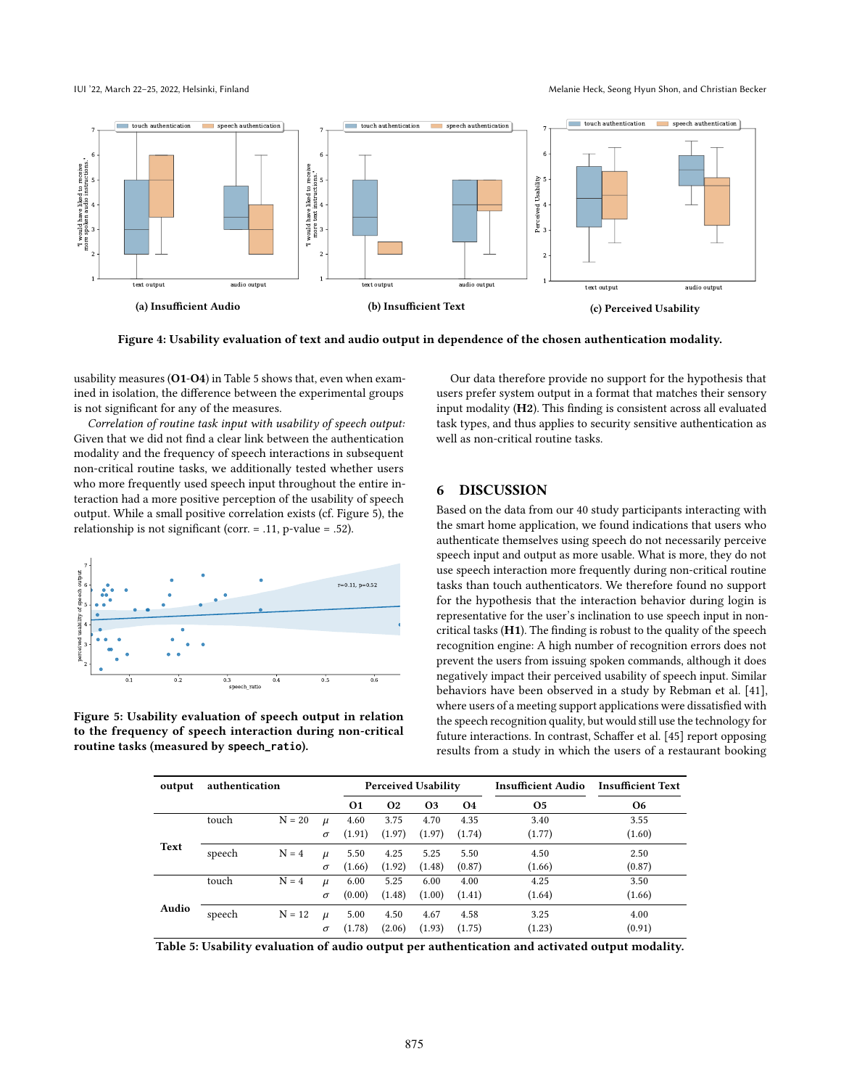IUI '22, March 22–25, 2022, Helsinki, Finland Melanie Heck, Seong Hyun Shon, and Christian Becker

<span id="page-7-0"></span>

Figure 4: Usability evaluation of text and audio output in dependence of the chosen authentication modality.

usability measures (O1-O4) in Table [5](#page-7-1) shows that, even when examined in isolation, the difference between the experimental groups is not significant for any of the measures.

Correlation of routine task input with usability of speech output: Given that we did not find a clear link between the authentication modality and the frequency of speech interactions in subsequent non-critical routine tasks, we additionally tested whether users who more frequently used speech input throughout the entire interaction had a more positive perception of the usability of speech output. While a small positive correlation exists (cf. Figure [5\)](#page-7-2), the relationship is not significant (corr. = .11, p-value = .52).

<span id="page-7-2"></span>

<span id="page-7-1"></span>Figure 5: Usability evaluation of speech output in relation to the frequency of speech interaction during non-critical routine tasks (measured by **speech\_ratio**).

Our data therefore provide no support for the hypothesis that users prefer system output in a format that matches their sensory input modality (H2). This finding is consistent across all evaluated task types, and thus applies to security sensitive authentication as well as non-critical routine tasks.

## 6 DISCUSSION

Based on the data from our 40 study participants interacting with the smart home application, we found indications that users who authenticate themselves using speech do not necessarily perceive speech input and output as more usable. What is more, they do not use speech interaction more frequently during non-critical routine tasks than touch authenticators. We therefore found no support for the hypothesis that the interaction behavior during login is representative for the user's inclination to use speech input in noncritical tasks  $(H1)$ . The finding is robust to the quality of the speech recognition engine: A high number of recognition errors does not prevent the users from issuing spoken commands, although it does negatively impact their perceived usability of speech input. Similar behaviors have been observed in a study by Rebman et al. [\[41\]](#page-9-42), where users of a meeting support applications were dissatisfied with the speech recognition quality, but would still use the technology for future interactions. In contrast, Schaffer et al. [\[45\]](#page-9-20) report opposing results from a study in which the users of a restaurant booking

| output | authentication |          |          | <b>Perceived Usability</b> |           |           |        | <b>Insufficient Audio</b> | <b>Insufficient Text</b> |
|--------|----------------|----------|----------|----------------------------|-----------|-----------|--------|---------------------------|--------------------------|
|        |                |          |          | 01                         | <b>O2</b> | <b>O3</b> | 04     | <b>O5</b>                 | <b>O6</b>                |
|        | touch          | $N = 20$ | $\mu$    | 4.60                       | 3.75      | 4.70      | 4.35   | 3.40                      | 3.55                     |
| Text   |                |          | $\sigma$ | (1.91)                     | (1.97)    | (1.97)    | (1.74) | (1.77)                    | (1.60)                   |
|        | speech         | $N = 4$  | $\mu$    | 5.50                       | 4.25      | 5.25      | 5.50   | 4.50                      | 2.50                     |
|        |                |          | $\sigma$ | (1.66)                     | (1.92)    | (1.48)    | (0.87) | (1.66)                    | (0.87)                   |
| Audio  | touch          | $N = 4$  | $\mu$    | 6.00                       | 5.25      | 6.00      | 4.00   | 4.25                      | 3.50                     |
|        |                |          | $\sigma$ | (0.00)                     | (1.48)    | (1.00)    | (1.41) | (1.64)                    | (1.66)                   |
|        | speech         | $N = 12$ | $\mu$    | 5.00                       | 4.50      | 4.67      | 4.58   | 3.25                      | 4.00                     |
|        |                |          | $\sigma$ | (1.78)                     | (2.06)    | (1.93)    | (1.75) | (1.23)                    | (0.91)                   |
|        |                |          |          |                            |           |           |        |                           |                          |

Table 5: Usability evaluation of audio output per authentication and activated output modality.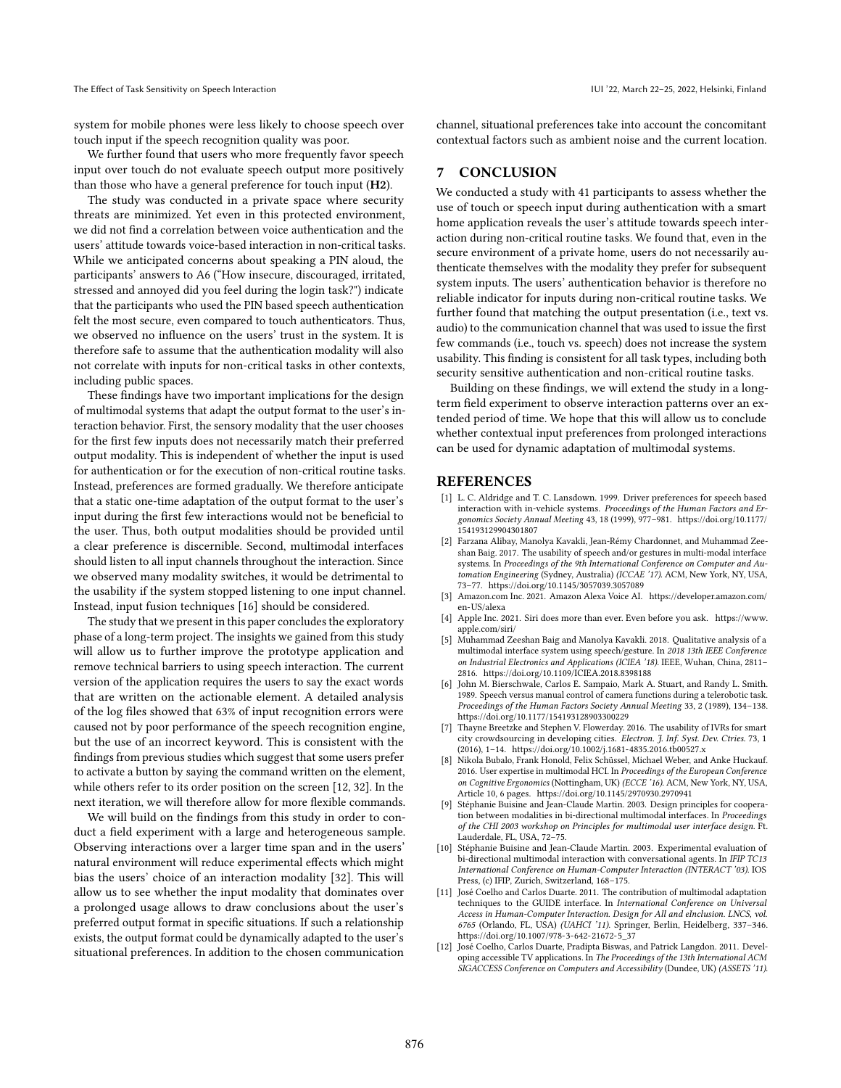system for mobile phones were less likely to choose speech over touch input if the speech recognition quality was poor.

We further found that users who more frequently favor speech input over touch do not evaluate speech output more positively than those who have a general preference for touch input (H2).

The study was conducted in a private space where security threats are minimized. Yet even in this protected environment, we did not find a correlation between voice authentication and the users' attitude towards voice-based interaction in non-critical tasks. While we anticipated concerns about speaking a PIN aloud, the participants' answers to A6 ("How insecure, discouraged, irritated, stressed and annoyed did you feel during the login task?") indicate that the participants who used the PIN based speech authentication felt the most secure, even compared to touch authenticators. Thus, we observed no influence on the users' trust in the system. It is therefore safe to assume that the authentication modality will also not correlate with inputs for non-critical tasks in other contexts, including public spaces.

These findings have two important implications for the design of multimodal systems that adapt the output format to the user's interaction behavior. First, the sensory modality that the user chooses for the first few inputs does not necessarily match their preferred output modality. This is independent of whether the input is used for authentication or for the execution of non-critical routine tasks. Instead, preferences are formed gradually. We therefore anticipate that a static one-time adaptation of the output format to the user's input during the first few interactions would not be beneficial to the user. Thus, both output modalities should be provided until a clear preference is discernible. Second, multimodal interfaces should listen to all input channels throughout the interaction. Since we observed many modality switches, it would be detrimental to the usability if the system stopped listening to one input channel. Instead, input fusion techniques [\[16\]](#page-9-4) should be considered.

The study that we present in this paper concludes the exploratory phase of a long-term project. The insights we gained from this study will allow us to further improve the prototype application and remove technical barriers to using speech interaction. The current version of the application requires the users to say the exact words that are written on the actionable element. A detailed analysis of the log files showed that 63% of input recognition errors were caused not by poor performance of the speech recognition engine, but the use of an incorrect keyword. This is consistent with the findings from previous studies which suggest that some users prefer to activate a button by saying the command written on the element, while others refer to its order position on the screen [\[12,](#page-8-3) [32\]](#page-9-10). In the next iteration, we will therefore allow for more flexible commands.

We will build on the findings from this study in order to conduct a field experiment with a large and heterogeneous sample. Observing interactions over a larger time span and in the users' natural environment will reduce experimental effects which might bias the users' choice of an interaction modality [\[32\]](#page-9-10). This will allow us to see whether the input modality that dominates over a prolonged usage allows to draw conclusions about the user's preferred output format in specific situations. If such a relationship exists, the output format could be dynamically adapted to the user's situational preferences. In addition to the chosen communication

channel, situational preferences take into account the concomitant contextual factors such as ambient noise and the current location.

# 7 CONCLUSION

We conducted a study with 41 participants to assess whether the use of touch or speech input during authentication with a smart home application reveals the user's attitude towards speech interaction during non-critical routine tasks. We found that, even in the secure environment of a private home, users do not necessarily authenticate themselves with the modality they prefer for subsequent system inputs. The users' authentication behavior is therefore no reliable indicator for inputs during non-critical routine tasks. We further found that matching the output presentation (i.e., text vs. audio) to the communication channel that was used to issue the first few commands (i.e., touch vs. speech) does not increase the system usability. This finding is consistent for all task types, including both security sensitive authentication and non-critical routine tasks.

Building on these findings, we will extend the study in a longterm field experiment to observe interaction patterns over an extended period of time. We hope that this will allow us to conclude whether contextual input preferences from prolonged interactions can be used for dynamic adaptation of multimodal systems.

#### **REFERENCES**

- <span id="page-8-8"></span>[1] L. C. Aldridge and T. C. Lansdown. 1999. Driver preferences for speech based interaction with in-vehicle systems. Proceedings of the Human Factors and Ergonomics Society Annual Meeting 43, 18 (1999), 977–981. [https://doi.org/10.1177/](https://doi.org/10.1177/154193129904301807) [154193129904301807](https://doi.org/10.1177/154193129904301807)
- <span id="page-8-5"></span>[2] Farzana Alibay, Manolya Kavakli, Jean-Rémy Chardonnet, and Muhammad Zeeshan Baig. 2017. The usability of speech and/or gestures in multi-modal interface systems. In Proceedings of the 9th International Conference on Computer and Automation Engineering (Sydney, Australia) (ICCAE '17). ACM, New York, NY, USA, 73–77.<https://doi.org/10.1145/3057039.3057089>
- <span id="page-8-1"></span>[3] Amazon.com Inc. 2021. Amazon Alexa Voice AI. [https://developer.amazon.com/](https://developer.amazon.com/en-US/alexa) [en-US/alexa](https://developer.amazon.com/en-US/alexa)
- <span id="page-8-0"></span>[4] Apple Inc. 2021. Siri does more than ever. Even before you ask. [https://www.](https://www.apple.com/siri/) [apple.com/siri/](https://www.apple.com/siri/)
- <span id="page-8-7"></span>[5] Muhammad Zeeshan Baig and Manolya Kavakli. 2018. Qualitative analysis of a multimodal interface system using speech/gesture. In 2018 13th IEEE Conference on Industrial Electronics and Applications (ICIEA '18). IEEE, Wuhan, China, 2811– 2816.<https://doi.org/10.1109/ICIEA.2018.8398188>
- <span id="page-8-10"></span>[6] John M. Bierschwale, Carlos E. Sampaio, Mark A. Stuart, and Randy L. Smith. 1989. Speech versus manual control of camera functions during a telerobotic task. Proceedings of the Human Factors Society Annual Meeting 33, 2 (1989), 134–138. <https://doi.org/10.1177/154193128903300229>
- <span id="page-8-6"></span>[7] Thayne Breetzke and Stephen V. Flowerday. 2016. The usability of IVRs for smart city crowdsourcing in developing cities. Electron. J. Inf. Syst. Dev. Ctries. 73, 1 (2016), 1–14.<https://doi.org/10.1002/j.1681-4835.2016.tb00527.x>
- <span id="page-8-4"></span>[8] Nikola Bubalo, Frank Honold, Felix Schüssel, Michael Weber, and Anke Huckauf. 2016. User expertise in multimodal HCI. In Proceedings of the European Conference on Cognitive Ergonomics (Nottingham, UK) (ECCE '16). ACM, New York, NY, USA, Article 10, 6 pages.<https://doi.org/10.1145/2970930.2970941>
- <span id="page-8-9"></span>[9] Stéphanie Buisine and Jean-Claude Martin. 2003. Design principles for cooperation between modalities in bi-directional multimodal interfaces. In Proceedings of the CHI 2003 workshop on Principles for multimodal user interface design. Ft. Lauderdale, FL, USA, 72–75.
- <span id="page-8-11"></span>[10] Stéphanie Buisine and Jean-Claude Martin. 2003. Experimental evaluation of bi-directional multimodal interaction with conversational agents. In IFIP TC13 International Conference on Human-Computer Interaction (INTERACT '03). IOS Press, (c) IFIP, Zurich, Switzerland, 168–175.
- <span id="page-8-2"></span>[11] José Coelho and Carlos Duarte. 2011. The contribution of multimodal adaptation techniques to the GUIDE interface. In International Conference on Universal Access in Human-Computer Interaction. Design for All and eInclusion. LNCS, vol. 6765 (Orlando, FL, USA) (UAHCI '11). Springer, Berlin, Heidelberg, 337–346. [https://doi.org/10.1007/978-3-642-21672-5\\_37](https://doi.org/10.1007/978-3-642-21672-5_37)
- <span id="page-8-3"></span>[12] José Coelho, Carlos Duarte, Pradipta Biswas, and Patrick Langdon. 2011. Developing accessible TV applications. In The Proceedings of the 13th International ACM SIGACCESS Conference on Computers and Accessibility (Dundee, UK) (ASSETS '11).